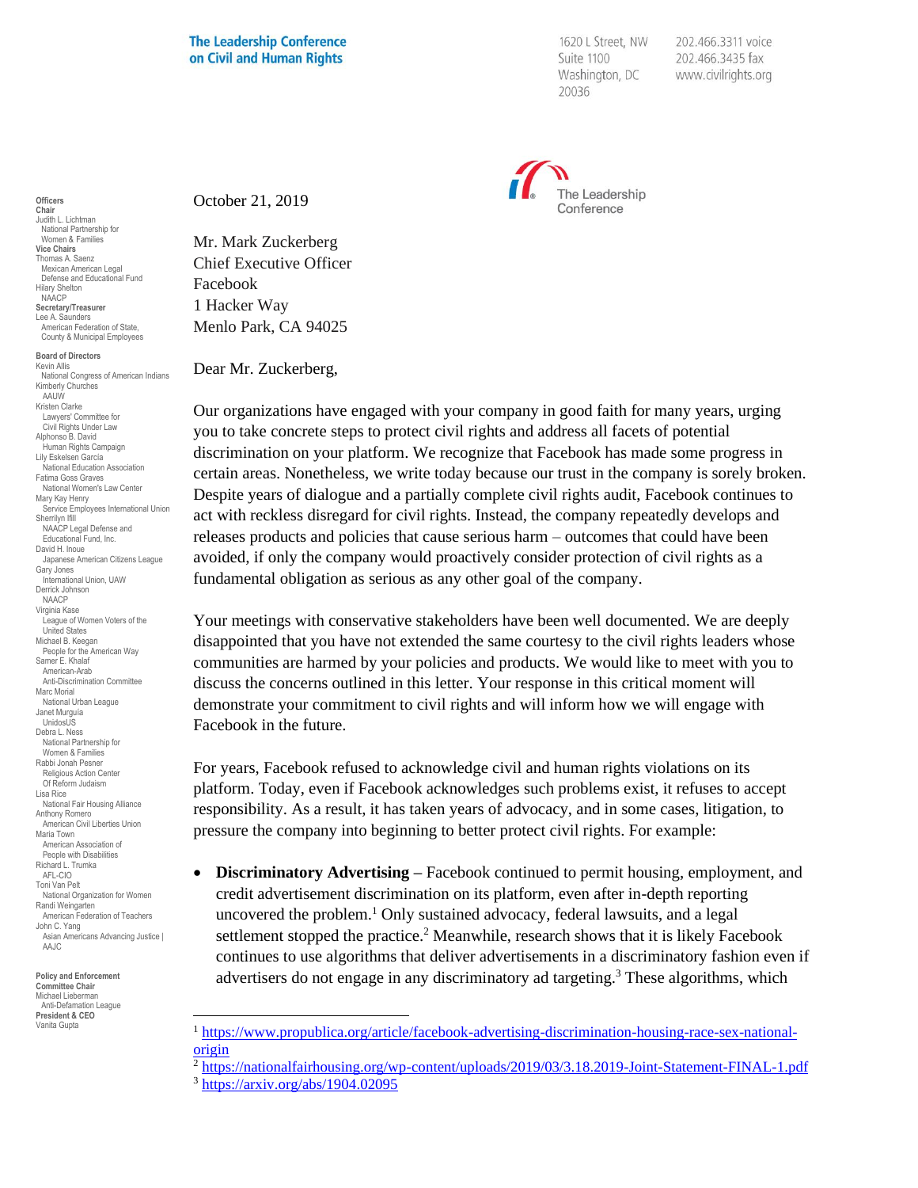## **The Leadership Conference** on Civil and Human Rights

1620 L Street, NW Suite 1100 Washington, DC 20036

202.466.3311 voice 202.466.3435 fax www.civilrights.org



October 21, 2019

Mr. Mark Zuckerberg Chief Executive Officer Facebook 1 Hacker Way Menlo Park, CA 94025

Dear Mr. Zuckerberg,

Our organizations have engaged with your company in good faith for many years, urging you to take concrete steps to protect civil rights and address all facets of potential discrimination on your platform. We recognize that Facebook has made some progress in certain areas. Nonetheless, we write today because our trust in the company is sorely broken. Despite years of dialogue and a partially complete civil rights audit, Facebook continues to act with reckless disregard for civil rights. Instead, the company repeatedly develops and releases products and policies that cause serious harm – outcomes that could have been avoided*,* if only the company would proactively consider protection of civil rights as a fundamental obligation as serious as any other goal of the company.

Your meetings with conservative stakeholders have been well documented. We are deeply disappointed that you have not extended the same courtesy to the civil rights leaders whose communities are harmed by your policies and products. We would like to meet with you to discuss the concerns outlined in this letter. Your response in this critical moment will demonstrate your commitment to civil rights and will inform how we will engage with Facebook in the future.

For years, Facebook refused to acknowledge civil and human rights violations on its platform. Today, even if Facebook acknowledges such problems exist, it refuses to accept responsibility. As a result, it has taken years of advocacy, and in some cases, litigation, to pressure the company into beginning to better protect civil rights. For example:

• **Discriminatory Advertising –** Facebook continued to permit housing, employment, and credit advertisement discrimination on its platform, even after in-depth reporting uncovered the problem.<sup>1</sup> Only sustained advocacy, federal lawsuits, and a legal settlement stopped the practice.<sup>2</sup> Meanwhile, research shows that it is likely Facebook continues to use algorithms that deliver advertisements in a discriminatory fashion even if advertisers do not engage in any discriminatory ad targeting.<sup>3</sup> These algorithms, which

**Officers Chair** Judith L. Lichtman National Partnership for Women & Families **Vice Chairs** Thomas A. Saenz Mexican American Legal Defense and Educational Fund Hilary Shelton NAACP **Secretary/Treasurer** Lee A. Saunders American Federation of State, County & Municipal Employees

**Board of Directors** Kevin Allis National Congress of American Indians Kimberly Churches AAUW Kristen Clarke Lawyers' Committee for Civil Rights Under Law Alphonso B. David Human Rights Campaign Lily Eskelsen García National Education Association Fatima Goss Graves National Women's Law Center Mary Kay Henry Service Employees International Union Sherrilyn Ifill NAACP Legal Defense and Educational Fund, Inc. David H. Inoue Japanese American Citizens League Gary Jones International Union, UAW Derrick Johnson NAACP Virginia Kase League of Women Voters of the United States Michael B. Keegan People for the American Way Samer E. Khalaf American-Arab Anti-Discrimination Committee Marc Morial National Urban League Janet Murguía UnidosUS Debra L. Ness National Partnership for Women & Families Rabbi Jonah Pesner Religious Action Center Of Reform Judaism Lisa Rice National Fair Housing Alliance Anthony Romero American Civil Liberties Union Maria Town American Association of People with Disabilities Richard L. Trumka AFL-CIO Toni Van Pelt National Organization for Women Randi Weingarten American Federation of Teachers John C. Yang Asian Americans Advancing Justice I AAJC

**Policy and Enforcement Committee Chair** Michael Lieberman Anti-Defamation League **President & CEO** Vanita Gupta

<sup>1</sup> [https://www.propublica.org/article/facebook-advertising-discrimination-housing-race-sex-national](https://www.propublica.org/article/facebook-advertising-discrimination-housing-race-sex-national-origin)[origin](https://www.propublica.org/article/facebook-advertising-discrimination-housing-race-sex-national-origin)

<sup>&</sup>lt;sup>2</sup> <https://nationalfairhousing.org/wp-content/uploads/2019/03/3.18.2019-Joint-Statement-FINAL-1.pdf>

<sup>3</sup> <https://arxiv.org/abs/1904.02095>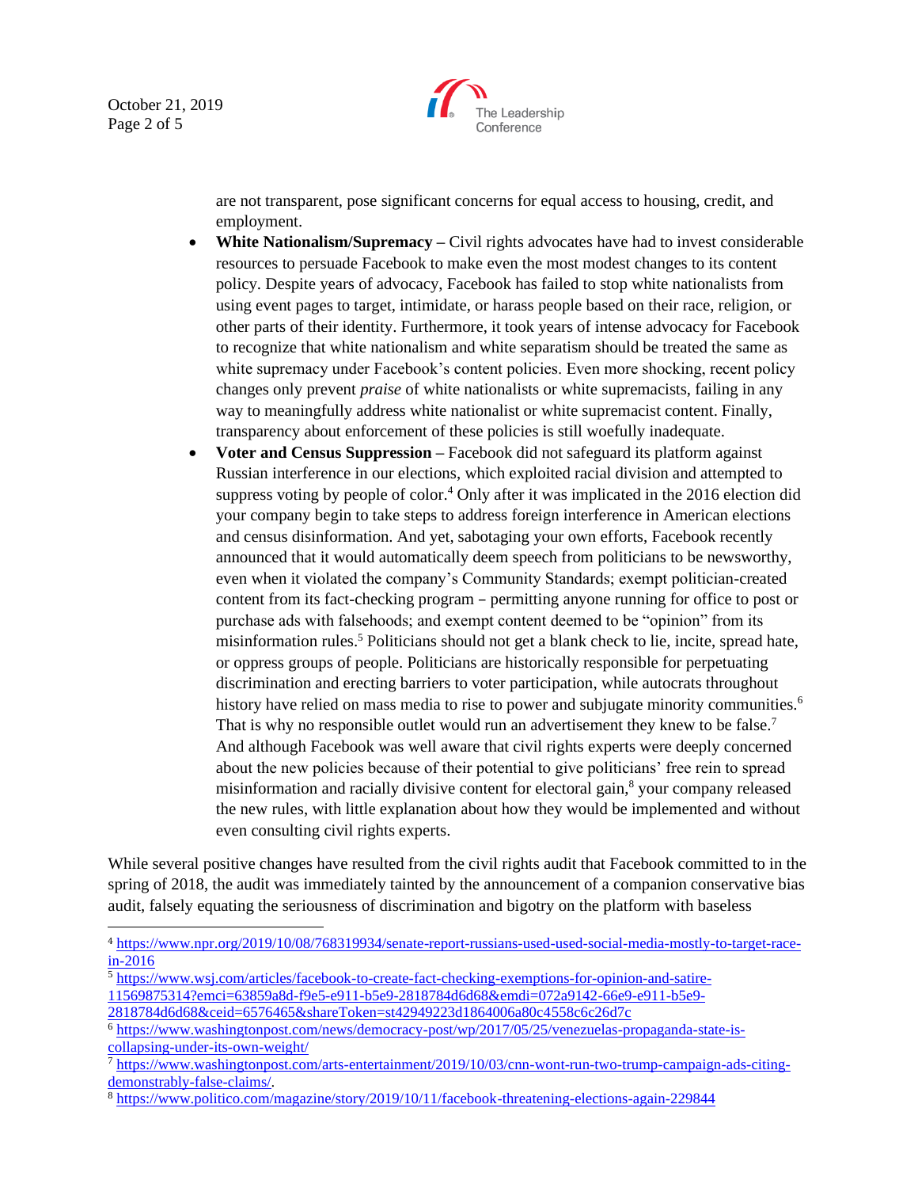October 21, 2019 Page 2 of 5



are not transparent, pose significant concerns for equal access to housing, credit, and employment.

- **White Nationalism/Supremacy** Civil rights advocates have had to invest considerable resources to persuade Facebook to make even the most modest changes to its content policy. Despite years of advocacy, Facebook has failed to stop white nationalists from using event pages to target, intimidate, or harass people based on their race, religion, or other parts of their identity. Furthermore, it took years of intense advocacy for Facebook to recognize that white nationalism and white separatism should be treated the same as white supremacy under Facebook's content policies. Even more shocking, recent policy changes only prevent *praise* of white nationalists or white supremacists, failing in any way to meaningfully address white nationalist or white supremacist content. Finally, transparency about enforcement of these policies is still woefully inadequate.
- **Voter and Census Suppression –** Facebook did not safeguard its platform against Russian interference in our elections, which exploited racial division and attempted to suppress voting by people of color.<sup>4</sup> Only after it was implicated in the 2016 election did your company begin to take steps to address foreign interference in American elections and census disinformation. And yet, sabotaging your own efforts, Facebook recently announced that it would automatically deem speech from politicians to be newsworthy, even when it violated the company's Community Standards; exempt politician-created content from its fact-checking program – permitting anyone running for office to post or purchase ads with falsehoods; and exempt content deemed to be "opinion" from its misinformation rules.<sup>5</sup> Politicians should not get a blank check to lie, incite, spread hate, or oppress groups of people. Politicians are historically responsible for perpetuating discrimination and erecting barriers to voter participation, while autocrats throughout history have relied on mass media to rise to power and subjugate minority communities.<sup>6</sup> That is why no responsible outlet would run an advertisement they knew to be false.<sup>7</sup> And although Facebook was well aware that civil rights experts were deeply concerned about the new policies because of their potential to give politicians' free rein to spread misinformation and racially divisive content for electoral gain, $\delta$  your company released the new rules, with little explanation about how they would be implemented and without even consulting civil rights experts.

While several positive changes have resulted from the civil rights audit that Facebook committed to in the spring of 2018, the audit was immediately tainted by the announcement of a companion conservative bias audit, falsely equating the seriousness of discrimination and bigotry on the platform with baseless

[11569875314?emci=63859a8d-f9e5-e911-b5e9-2818784d6d68&emdi=072a9142-66e9-e911-b5e9-](https://www.wsj.com/articles/facebook-to-create-fact-checking-exemptions-for-opinion-and-satire-11569875314?emci=63859a8d-f9e5-e911-b5e9-2818784d6d68&emdi=072a9142-66e9-e911-b5e9-2818784d6d68&ceid=6576465&shareToken=st42949223d1864006a80c4558c6c26d7c)

<sup>4</sup> [https://www.npr.org/2019/10/08/768319934/senate-report-russians-used-used-social-media-mostly-to-target-race](https://www.npr.org/2019/10/08/768319934/senate-report-russians-used-used-social-media-mostly-to-target-race-in-2016) $in-2016$ 

<sup>5</sup> [https://www.wsj.com/articles/facebook-to-create-fact-checking-exemptions-for-opinion-and-satire-](https://www.wsj.com/articles/facebook-to-create-fact-checking-exemptions-for-opinion-and-satire-11569875314?emci=63859a8d-f9e5-e911-b5e9-2818784d6d68&emdi=072a9142-66e9-e911-b5e9-2818784d6d68&ceid=6576465&shareToken=st42949223d1864006a80c4558c6c26d7c)

[<sup>2818784</sup>d6d68&ceid=6576465&shareToken=st42949223d1864006a80c4558c6c26d7c](https://www.wsj.com/articles/facebook-to-create-fact-checking-exemptions-for-opinion-and-satire-11569875314?emci=63859a8d-f9e5-e911-b5e9-2818784d6d68&emdi=072a9142-66e9-e911-b5e9-2818784d6d68&ceid=6576465&shareToken=st42949223d1864006a80c4558c6c26d7c)

<sup>6</sup> [https://www.washingtonpost.com/news/democracy-post/wp/2017/05/25/venezuelas-propaganda-state-is](https://www.washingtonpost.com/news/democracy-post/wp/2017/05/25/venezuelas-propaganda-state-is-collapsing-under-its-own-weight/)[collapsing-under-its-own-weight/](https://www.washingtonpost.com/news/democracy-post/wp/2017/05/25/venezuelas-propaganda-state-is-collapsing-under-its-own-weight/)

<sup>7</sup> [https://www.washingtonpost.com/arts-entertainment/2019/10/03/cnn-wont-run-two-trump-campaign-ads-citing](https://www.washingtonpost.com/arts-entertainment/2019/10/03/cnn-wont-run-two-trump-campaign-ads-citing-demonstrably-false-claims/)[demonstrably-false-claims/.](https://www.washingtonpost.com/arts-entertainment/2019/10/03/cnn-wont-run-two-trump-campaign-ads-citing-demonstrably-false-claims/)

<sup>8</sup> <https://www.politico.com/magazine/story/2019/10/11/facebook-threatening-elections-again-229844>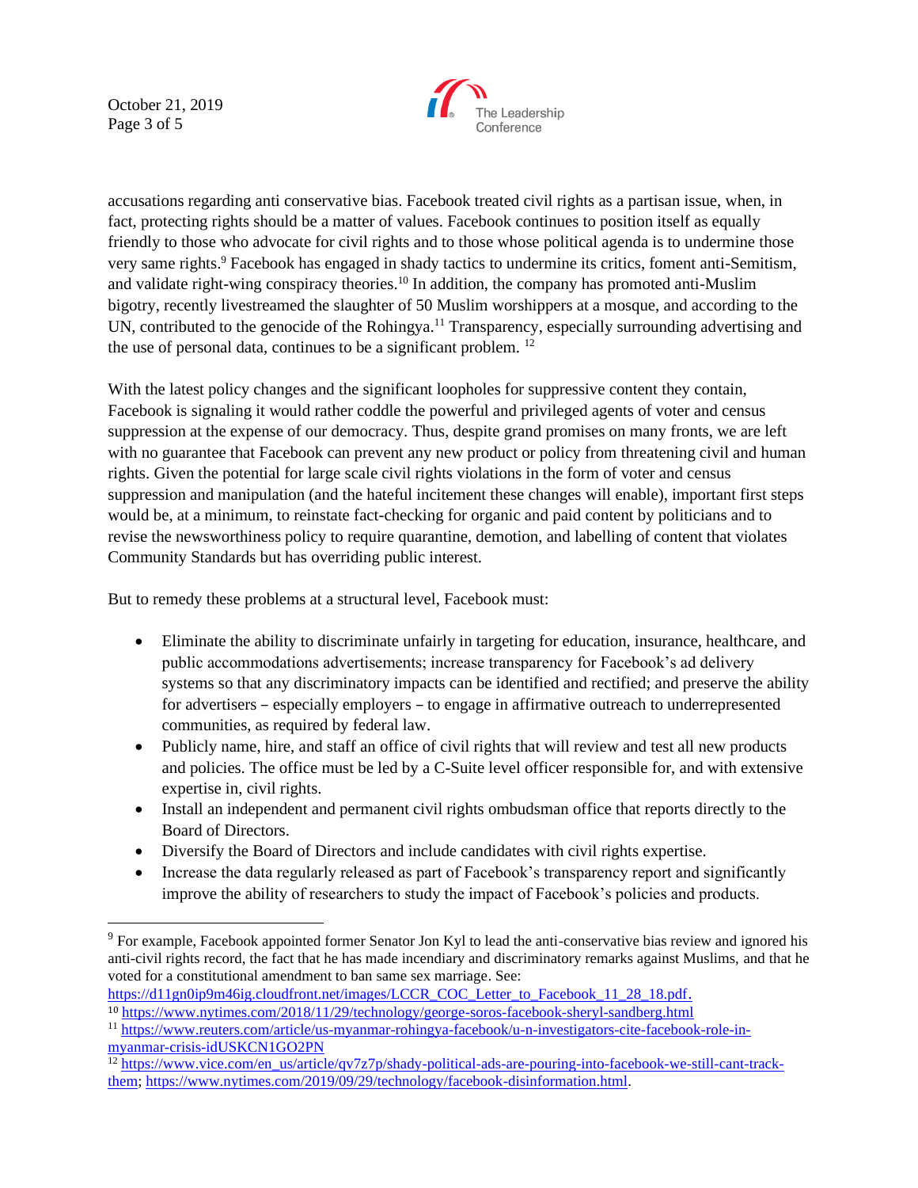October 21, 2019 Page 3 of 5



accusations regarding anti conservative bias. Facebook treated civil rights as a partisan issue, when, in fact, protecting rights should be a matter of values. Facebook continues to position itself as equally friendly to those who advocate for civil rights and to those whose political agenda is to undermine those very same rights.<sup>9</sup> Facebook has engaged in shady tactics to undermine its critics, foment anti-Semitism, and validate right-wing conspiracy theories.<sup>10</sup> In addition, the company has promoted anti-Muslim bigotry, recently livestreamed the slaughter of 50 Muslim worshippers at a mosque, and according to the UN, contributed to the genocide of the Rohingya.<sup>11</sup> Transparency, especially surrounding advertising and the use of personal data, continues to be a significant problem. <sup>12</sup>

With the latest policy changes and the significant loopholes for suppressive content they contain, Facebook is signaling it would rather coddle the powerful and privileged agents of voter and census suppression at the expense of our democracy. Thus, despite grand promises on many fronts, we are left with no guarantee that Facebook can prevent any new product or policy from threatening civil and human rights. Given the potential for large scale civil rights violations in the form of voter and census suppression and manipulation (and the hateful incitement these changes will enable), important first steps would be, at a minimum, to reinstate fact-checking for organic and paid content by politicians and to revise the newsworthiness policy to require quarantine, demotion, and labelling of content that violates Community Standards but has overriding public interest.

But to remedy these problems at a structural level, Facebook must:

- Eliminate the ability to discriminate unfairly in targeting for education, insurance, healthcare, and public accommodations advertisements; increase transparency for Facebook's ad delivery systems so that any discriminatory impacts can be identified and rectified; and preserve the ability for advertisers – especially employers – to engage in affirmative outreach to underrepresented communities, as required by federal law.
- Publicly name, hire, and staff an office of civil rights that will review and test all new products and policies. The office must be led by a C-Suite level officer responsible for, and with extensive expertise in, civil rights.
- Install an independent and permanent civil rights ombudsman office that reports directly to the Board of Directors.
- Diversify the Board of Directors and include candidates with civil rights expertise.
- Increase the data regularly released as part of Facebook's transparency report and significantly improve the ability of researchers to study the impact of Facebook's policies and products.

[https://d11gn0ip9m46ig.cloudfront.net/images/LCCR\\_COC\\_Letter\\_to\\_Facebook\\_11\\_28\\_18.pdf](https://d11gn0ip9m46ig.cloudfront.net/images/LCCR_COC_Letter_to_Facebook_11_28_18.pdf). <sup>10</sup> <https://www.nytimes.com/2018/11/29/technology/george-soros-facebook-sheryl-sandberg.html>

<sup>9</sup> For example, Facebook appointed former Senator Jon Kyl to lead the anti-conservative bias review and ignored his anti-civil rights record, the fact that he has made incendiary and discriminatory remarks against Muslims, and that he voted for a constitutional amendment to ban same sex marriage. See:

<sup>11</sup> [https://www.reuters.com/article/us-myanmar-rohingya-facebook/u-n-investigators-cite-facebook-role-in](https://www.reuters.com/article/us-myanmar-rohingya-facebook/u-n-investigators-cite-facebook-role-in-myanmar-crisis-idUSKCN1GO2PN)[myanmar-crisis-idUSKCN1GO2PN](https://www.reuters.com/article/us-myanmar-rohingya-facebook/u-n-investigators-cite-facebook-role-in-myanmar-crisis-idUSKCN1GO2PN)

<sup>&</sup>lt;sup>12</sup> [https://www.vice.com/en\\_us/article/qv7z7p/shady-political-ads-are-pouring-into-facebook-we-still-cant-track](https://www.vice.com/en_us/article/qv7z7p/shady-political-ads-are-pouring-into-facebook-we-still-cant-track-them)[them;](https://www.vice.com/en_us/article/qv7z7p/shady-political-ads-are-pouring-into-facebook-we-still-cant-track-them) [https://www.nytimes.com/2019/09/29/technology/facebook-disinformation.html.](https://www.nytimes.com/2019/09/29/technology/facebook-disinformation.html)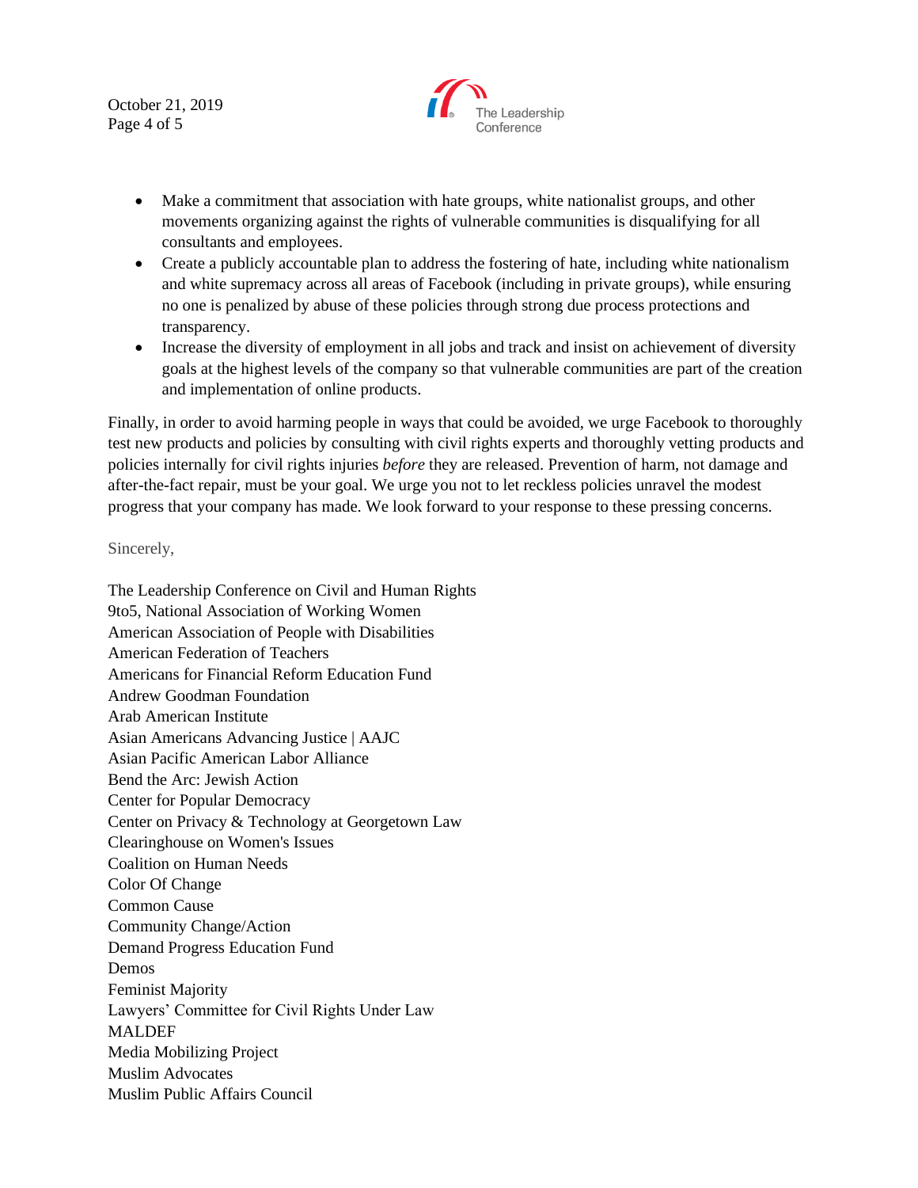October 21, 2019 Page 4 of 5



- Make a commitment that association with hate groups, white nationalist groups, and other movements organizing against the rights of vulnerable communities is disqualifying for all consultants and employees.
- Create a publicly accountable plan to address the fostering of hate, including white nationalism and white supremacy across all areas of Facebook (including in private groups), while ensuring no one is penalized by abuse of these policies through strong due process protections and transparency.
- Increase the diversity of employment in all jobs and track and insist on achievement of diversity goals at the highest levels of the company so that vulnerable communities are part of the creation and implementation of online products.

Finally, in order to avoid harming people in ways that could be avoided, we urge Facebook to thoroughly test new products and policies by consulting with civil rights experts and thoroughly vetting products and policies internally for civil rights injuries *before* they are released. Prevention of harm, not damage and after-the-fact repair, must be your goal. We urge you not to let reckless policies unravel the modest progress that your company has made. We look forward to your response to these pressing concerns.

## Sincerely,

The Leadership Conference on Civil and Human Rights 9to5, National Association of Working Women American Association of People with Disabilities American Federation of Teachers Americans for Financial Reform Education Fund Andrew Goodman Foundation Arab American Institute Asian Americans Advancing Justice | AAJC Asian Pacific American Labor Alliance Bend the Arc: Jewish Action Center for Popular Democracy Center on Privacy & Technology at Georgetown Law Clearinghouse on Women's Issues Coalition on Human Needs Color Of Change Common Cause Community Change/Action Demand Progress Education Fund Demos Feminist Majority Lawyers' Committee for Civil Rights Under Law MALDEF Media Mobilizing Project Muslim Advocates Muslim Public Affairs Council